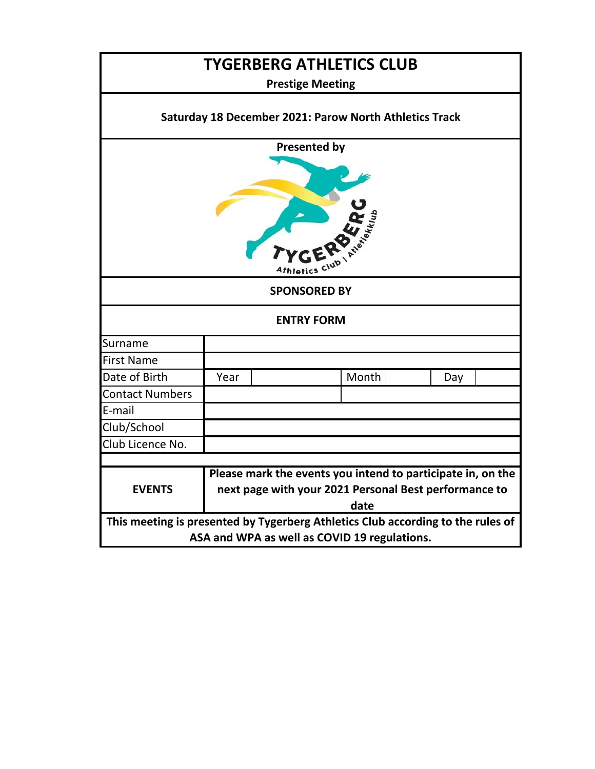| <b>TYGERBERG ATHLETICS CLUB</b>                                                                                                 |                                                                                                                              |  |       |     |  |  |  |  |  |
|---------------------------------------------------------------------------------------------------------------------------------|------------------------------------------------------------------------------------------------------------------------------|--|-------|-----|--|--|--|--|--|
| <b>Prestige Meeting</b>                                                                                                         |                                                                                                                              |  |       |     |  |  |  |  |  |
| Saturday 18 December 2021: Parow North Athletics Track                                                                          |                                                                                                                              |  |       |     |  |  |  |  |  |
| <b>Presented by</b><br><sup>4</sup> thletics                                                                                    |                                                                                                                              |  |       |     |  |  |  |  |  |
| <b>SPONSORED BY</b>                                                                                                             |                                                                                                                              |  |       |     |  |  |  |  |  |
| <b>ENTRY FORM</b>                                                                                                               |                                                                                                                              |  |       |     |  |  |  |  |  |
| Surname                                                                                                                         |                                                                                                                              |  |       |     |  |  |  |  |  |
| <b>First Name</b>                                                                                                               |                                                                                                                              |  |       |     |  |  |  |  |  |
| Date of Birth                                                                                                                   | Year                                                                                                                         |  | Month | Day |  |  |  |  |  |
| <b>Contact Numbers</b>                                                                                                          |                                                                                                                              |  |       |     |  |  |  |  |  |
| E-mail                                                                                                                          |                                                                                                                              |  |       |     |  |  |  |  |  |
| Club/School                                                                                                                     |                                                                                                                              |  |       |     |  |  |  |  |  |
| Club Licence No.                                                                                                                |                                                                                                                              |  |       |     |  |  |  |  |  |
| <b>EVENTS</b>                                                                                                                   | Please mark the events you intend to participate in, on the<br>next page with your 2021 Personal Best performance to<br>date |  |       |     |  |  |  |  |  |
| This meeting is presented by Tygerberg Athletics Club according to the rules of<br>ASA and WPA as well as COVID 19 regulations. |                                                                                                                              |  |       |     |  |  |  |  |  |